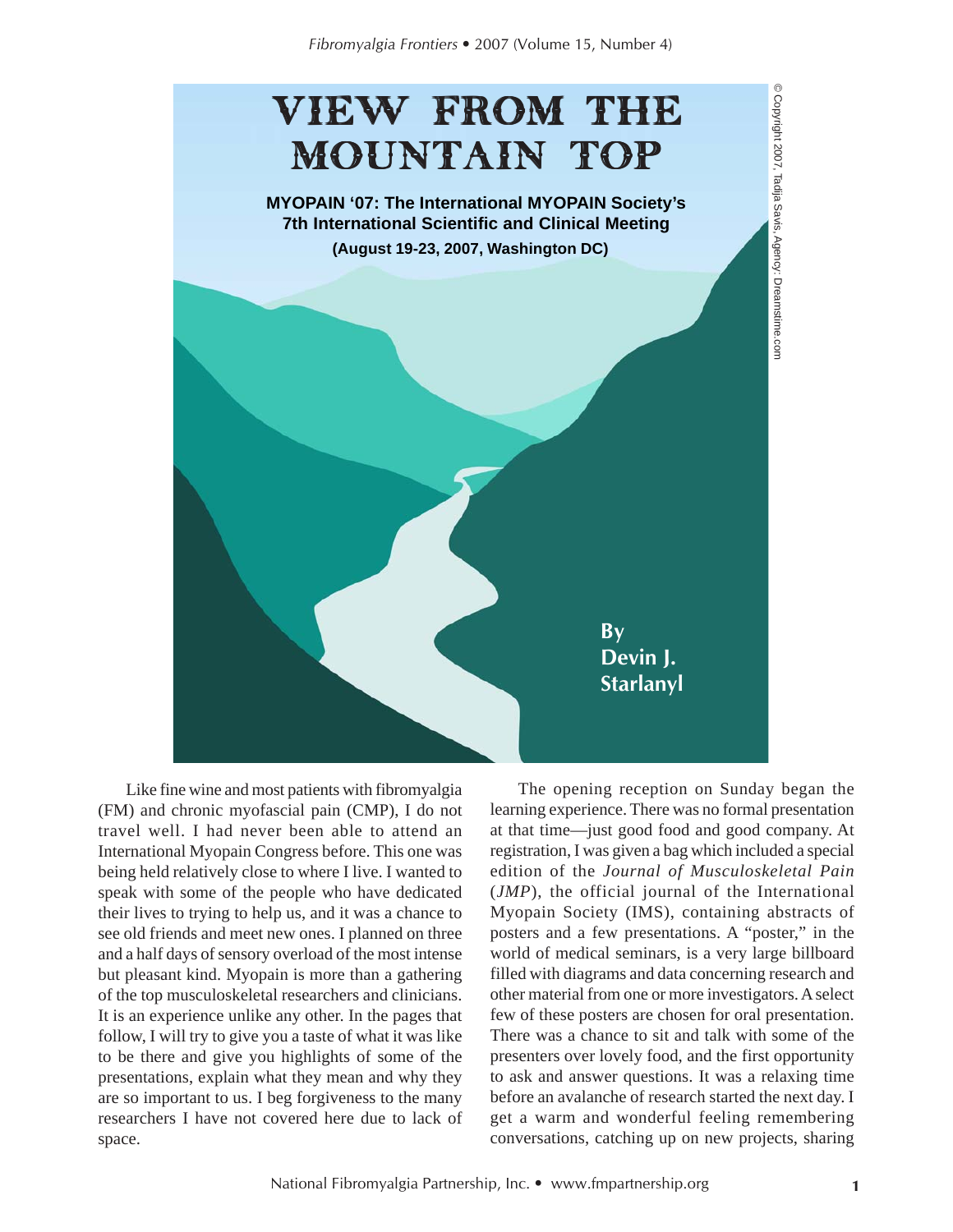# View from the MOUNTAIN TOP



Like fine wine and most patients with fibromyalgia (FM) and chronic myofascial pain (CMP), I do not travel well. I had never been able to attend an International Myopain Congress before. This one was being held relatively close to where I live. I wanted to speak with some of the people who have dedicated their lives to trying to help us, and it was a chance to see old friends and meet new ones. I planned on three and a half days of sensory overload of the most intense but pleasant kind. Myopain is more than a gathering of the top musculoskeletal researchers and clinicians. It is an experience unlike any other. In the pages that follow, I will try to give you a taste of what it was like to be there and give you highlights of some of the presentations, explain what they mean and why they are so important to us. I beg forgiveness to the many researchers I have not covered here due to lack of space.

The opening reception on Sunday began the learning experience. There was no formal presentation at that time—just good food and good company. At registration, I was given a bag which included a special edition of the *Journal of Musculoskeletal Pain* (*JMP*), the official journal of the International Myopain Society (IMS), containing abstracts of posters and a few presentations. A "poster," in the world of medical seminars, is a very large billboard filled with diagrams and data concerning research and other material from one or more investigators. A select few of these posters are chosen for oral presentation. There was a chance to sit and talk with some of the presenters over lovely food, and the first opportunity to ask and answer questions. It was a relaxing time before an avalanche of research started the next day. I get a warm and wonderful feeling remembering conversations, catching up on new projects, sharing

© Copyright 2007, Tadija Savis, Agency: Dreamstime.com

© Copyright 2007, Tadija Savis, Agency: Dreamstime.com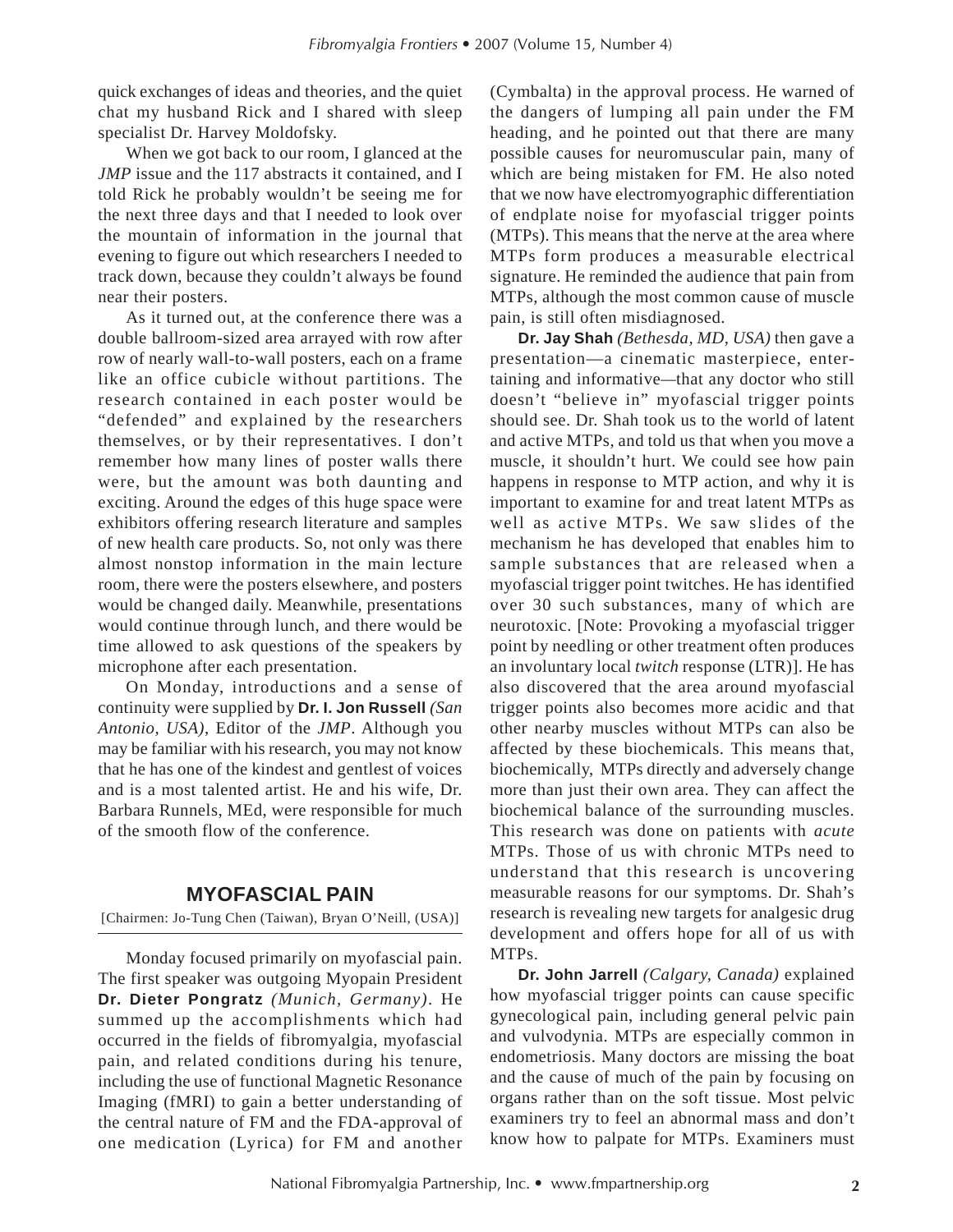quick exchanges of ideas and theories, and the quiet chat my husband Rick and I shared with sleep specialist Dr. Harvey Moldofsky.

When we got back to our room, I glanced at the *JMP* issue and the 117 abstracts it contained, and I told Rick he probably wouldn't be seeing me for the next three days and that I needed to look over the mountain of information in the journal that evening to figure out which researchers I needed to track down, because they couldn't always be found near their posters.

As it turned out, at the conference there was a double ballroom-sized area arrayed with row after row of nearly wall-to-wall posters, each on a frame like an office cubicle without partitions. The research contained in each poster would be "defended" and explained by the researchers themselves, or by their representatives. I don't remember how many lines of poster walls there were, but the amount was both daunting and exciting. Around the edges of this huge space were exhibitors offering research literature and samples of new health care products. So, not only was there almost nonstop information in the main lecture room, there were the posters elsewhere, and posters would be changed daily. Meanwhile, presentations would continue through lunch, and there would be time allowed to ask questions of the speakers by microphone after each presentation.

On Monday, introductions and a sense of continuity were supplied by **Dr. I. Jon Russell** *(San Antonio, USA)*, Editor of the *JMP*. Although you may be familiar with his research, you may not know that he has one of the kindest and gentlest of voices and is a most talented artist. He and his wife, Dr. Barbara Runnels, MEd, were responsible for much of the smooth flow of the conference.

## **MYOFASCIAL PAIN**

[Chairmen: Jo-Tung Chen (Taiwan), Bryan O'Neill, (USA)]

Monday focused primarily on myofascial pain. The first speaker was outgoing Myopain President **Dr. Dieter Pongratz** *(Munich, Germany)*. He summed up the accomplishments which had occurred in the fields of fibromyalgia, myofascial pain, and related conditions during his tenure, including the use of functional Magnetic Resonance Imaging (fMRI) to gain a better understanding of the central nature of FM and the FDA-approval of one medication (Lyrica) for FM and another (Cymbalta) in the approval process. He warned of the dangers of lumping all pain under the FM heading, and he pointed out that there are many possible causes for neuromuscular pain, many of which are being mistaken for FM. He also noted that we now have electromyographic differentiation of endplate noise for myofascial trigger points (MTPs). This means that the nerve at the area where MTPs form produces a measurable electrical signature. He reminded the audience that pain from MTPs, although the most common cause of muscle pain, is still often misdiagnosed.

**Dr. Jay Shah** *(Bethesda, MD, USA)* then gave a presentation—a cinematic masterpiece, entertaining and informative*—*that any doctor who still doesn't "believe in" myofascial trigger points should see. Dr. Shah took us to the world of latent and active MTPs, and told us that when you move a muscle, it shouldn't hurt. We could see how pain happens in response to MTP action, and why it is important to examine for and treat latent MTPs as well as active MTPs. We saw slides of the mechanism he has developed that enables him to sample substances that are released when a myofascial trigger point twitches. He has identified over 30 such substances, many of which are neurotoxic. [Note: Provoking a myofascial trigger point by needling or other treatment often produces an involuntary local *twitch* response (LTR)]. He has also discovered that the area around myofascial trigger points also becomes more acidic and that other nearby muscles without MTPs can also be affected by these biochemicals. This means that, biochemically, MTPs directly and adversely change more than just their own area. They can affect the biochemical balance of the surrounding muscles. This research was done on patients with *acute* MTPs. Those of us with chronic MTPs need to understand that this research is uncovering measurable reasons for our symptoms. Dr. Shah's research is revealing new targets for analgesic drug development and offers hope for all of us with MTPs.

**Dr. John Jarrell** *(Calgary, Canada)* explained how myofascial trigger points can cause specific gynecological pain, including general pelvic pain and vulvodynia. MTPs are especially common in endometriosis. Many doctors are missing the boat and the cause of much of the pain by focusing on organs rather than on the soft tissue. Most pelvic examiners try to feel an abnormal mass and don't know how to palpate for MTPs. Examiners must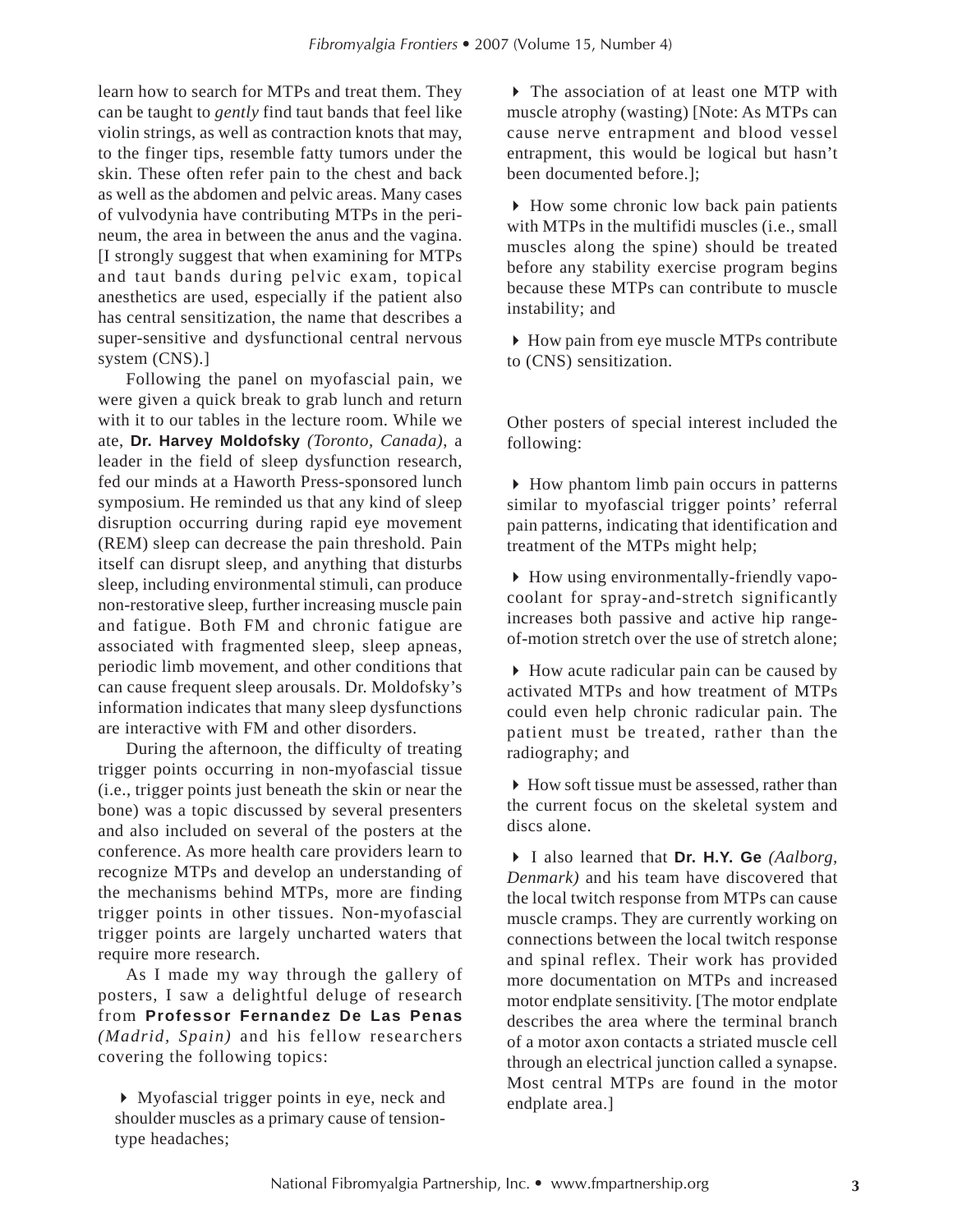learn how to search for MTPs and treat them. They can be taught to *gently* find taut bands that feel like violin strings, as well as contraction knots that may, to the finger tips, resemble fatty tumors under the skin. These often refer pain to the chest and back as well as the abdomen and pelvic areas. Many cases of vulvodynia have contributing MTPs in the perineum, the area in between the anus and the vagina. [I strongly suggest that when examining for MTPs and taut bands during pelvic exam, topical anesthetics are used, especially if the patient also has central sensitization, the name that describes a super-sensitive and dysfunctional central nervous system (CNS).]

Following the panel on myofascial pain, we were given a quick break to grab lunch and return with it to our tables in the lecture room. While we ate, **Dr. Harvey Moldofsky** *(Toronto, Canada)*, a leader in the field of sleep dysfunction research, fed our minds at a Haworth Press-sponsored lunch symposium. He reminded us that any kind of sleep disruption occurring during rapid eye movement (REM) sleep can decrease the pain threshold. Pain itself can disrupt sleep, and anything that disturbs sleep, including environmental stimuli, can produce non-restorative sleep, further increasing muscle pain and fatigue. Both FM and chronic fatigue are associated with fragmented sleep, sleep apneas, periodic limb movement, and other conditions that can cause frequent sleep arousals. Dr. Moldofsky's information indicates that many sleep dysfunctions are interactive with FM and other disorders.

During the afternoon, the difficulty of treating trigger points occurring in non-myofascial tissue (i.e., trigger points just beneath the skin or near the bone) was a topic discussed by several presenters and also included on several of the posters at the conference. As more health care providers learn to recognize MTPs and develop an understanding of the mechanisms behind MTPs, more are finding trigger points in other tissues. Non-myofascial trigger points are largely uncharted waters that require more research.

As I made my way through the gallery of posters, I saw a delightful deluge of research from **Professor Fernandez De Las Penas** *(Madrid, Spain)* and his fellow researchers covering the following topics:

 Myofascial trigger points in eye, neck and shoulder muscles as a primary cause of tensiontype headaches;

 The association of at least one MTP with muscle atrophy (wasting) [Note: As MTPs can cause nerve entrapment and blood vessel entrapment, this would be logical but hasn't been documented before.];

 How some chronic low back pain patients with MTPs in the multifidi muscles *(i.e.*, small muscles along the spine) should be treated before any stability exercise program begins because these MTPs can contribute to muscle instability; and

 How pain from eye muscle MTPs contribute to (CNS) sensitization.

Other posters of special interest included the following:

 How phantom limb pain occurs in patterns similar to myofascial trigger points' referral pain patterns, indicating that identification and treatment of the MTPs might help;

 How using environmentally-friendly vapocoolant for spray-and-stretch significantly increases both passive and active hip rangeof-motion stretch over the use of stretch alone;

 How acute radicular pain can be caused by activated MTPs and how treatment of MTPs could even help chronic radicular pain. The patient must be treated, rather than the radiography; and

 How soft tissue must be assessed, rather than the current focus on the skeletal system and discs alone.

 I also learned that **Dr. H.Y. Ge** *(Aalborg, Denmark)* and his team have discovered that the local twitch response from MTPs can cause muscle cramps. They are currently working on connections between the local twitch response and spinal reflex. Their work has provided more documentation on MTPs and increased motor endplate sensitivity. [The motor endplate describes the area where the terminal branch of a motor axon contacts a striated muscle cell through an electrical junction called a synapse. Most central MTPs are found in the motor endplate area.]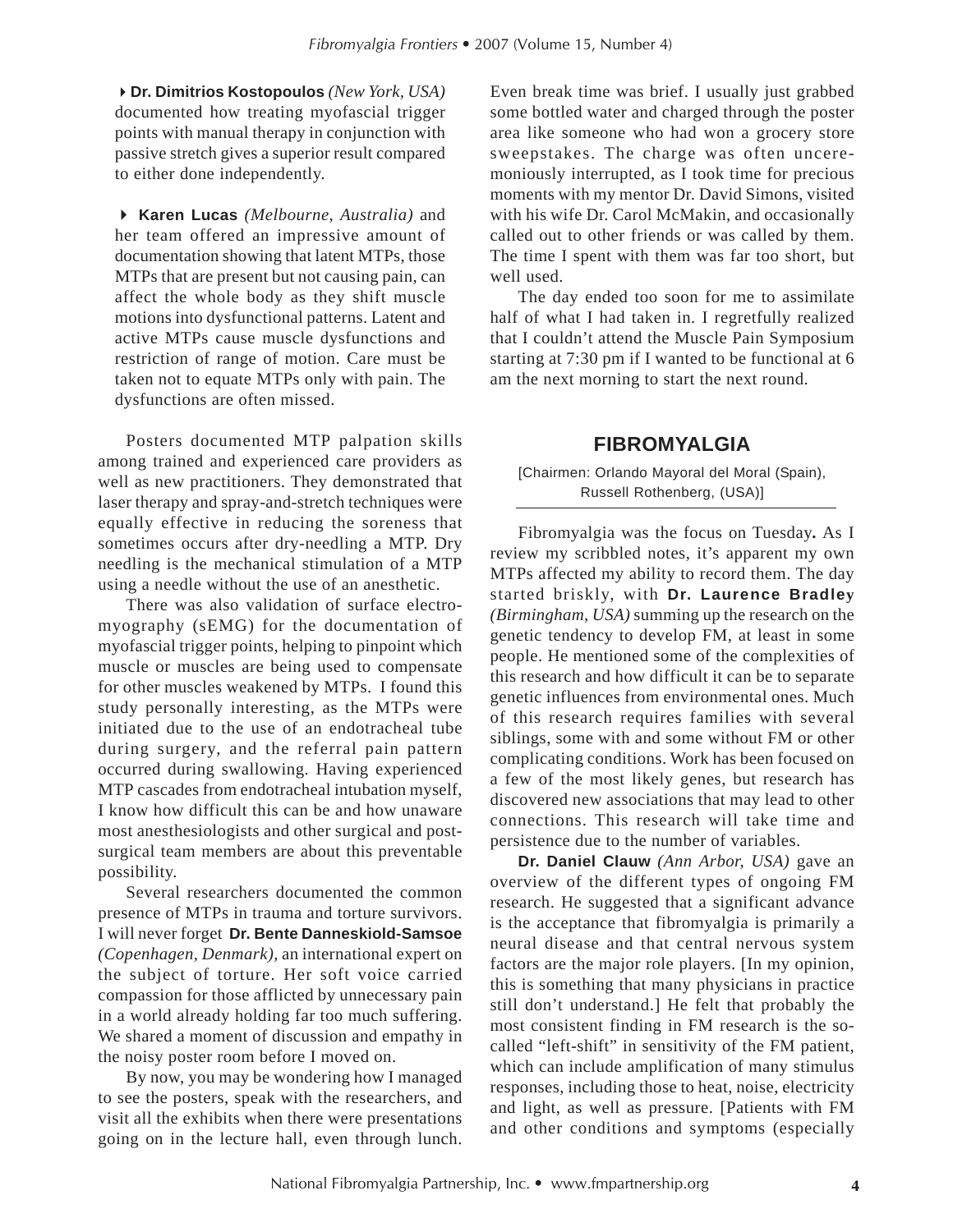**Dr. Dimitrios Kostopoulos** *(New York, USA)* documented how treating myofascial trigger points with manual therapy in conjunction with passive stretch gives a superior result compared to either done independently.

 **Karen Lucas** *(Melbourne, Australia)* and her team offered an impressive amount of documentation showing that latent MTPs, those MTPs that are present but not causing pain, can affect the whole body as they shift muscle motions into dysfunctional patterns. Latent and active MTPs cause muscle dysfunctions and restriction of range of motion. Care must be taken not to equate MTPs only with pain. The dysfunctions are often missed.

Posters documented MTP palpation skills among trained and experienced care providers as well as new practitioners. They demonstrated that laser therapy and spray-and-stretch techniques were equally effective in reducing the soreness that sometimes occurs after dry-needling a MTP. Dry needling is the mechanical stimulation of a MTP using a needle without the use of an anesthetic.

There was also validation of surface electromyography (sEMG) for the documentation of myofascial trigger points, helping to pinpoint which muscle or muscles are being used to compensate for other muscles weakened by MTPs. I found this study personally interesting, as the MTPs were initiated due to the use of an endotracheal tube during surgery, and the referral pain pattern occurred during swallowing. Having experienced MTP cascades from endotracheal intubation myself, I know how difficult this can be and how unaware most anesthesiologists and other surgical and postsurgical team members are about this preventable possibility.

Several researchers documented the common presence of MTPs in trauma and torture survivors. I will never forget **Dr. Bente Danneskiold-Samsoe** *(Copenhagen, Denmark),* an international expert on the subject of torture. Her soft voice carried compassion for those afflicted by unnecessary pain in a world already holding far too much suffering. We shared a moment of discussion and empathy in the noisy poster room before I moved on.

By now, you may be wondering how I managed to see the posters, speak with the researchers, and visit all the exhibits when there were presentations going on in the lecture hall, even through lunch.

Even break time was brief. I usually just grabbed some bottled water and charged through the poster area like someone who had won a grocery store sweepstakes. The charge was often unceremoniously interrupted, as I took time for precious moments with my mentor Dr. David Simons, visited with his wife Dr. Carol McMakin, and occasionally called out to other friends or was called by them. The time I spent with them was far too short, but well used.

The day ended too soon for me to assimilate half of what I had taken in. I regretfully realized that I couldn't attend the Muscle Pain Symposium starting at 7:30 pm if I wanted to be functional at 6 am the next morning to start the next round.

## **FIBROMYALGIA**

#### [Chairmen: Orlando Mayoral del Moral (Spain), Russell Rothenberg, (USA)]

Fibromyalgia was the focus on Tuesday*.* As I review my scribbled notes, it's apparent my own MTPs affected my ability to record them. The day started briskly, with **Dr. Laurence Bradley** *(Birmingham, USA)* summing up the research on the genetic tendency to develop FM, at least in some people. He mentioned some of the complexities of this research and how difficult it can be to separate genetic influences from environmental ones. Much of this research requires families with several siblings, some with and some without FM or other complicating conditions. Work has been focused on a few of the most likely genes, but research has discovered new associations that may lead to other connections. This research will take time and persistence due to the number of variables.

**Dr. Daniel Clauw** *(Ann Arbor, USA)* gave an overview of the different types of ongoing FM research. He suggested that a significant advance is the acceptance that fibromyalgia is primarily a neural disease and that central nervous system factors are the major role players. [In my opinion, this is something that many physicians in practice still don't understand.] He felt that probably the most consistent finding in FM research is the socalled "left-shift" in sensitivity of the FM patient, which can include amplification of many stimulus responses, including those to heat, noise, electricity and light, as well as pressure. [Patients with FM and other conditions and symptoms (especially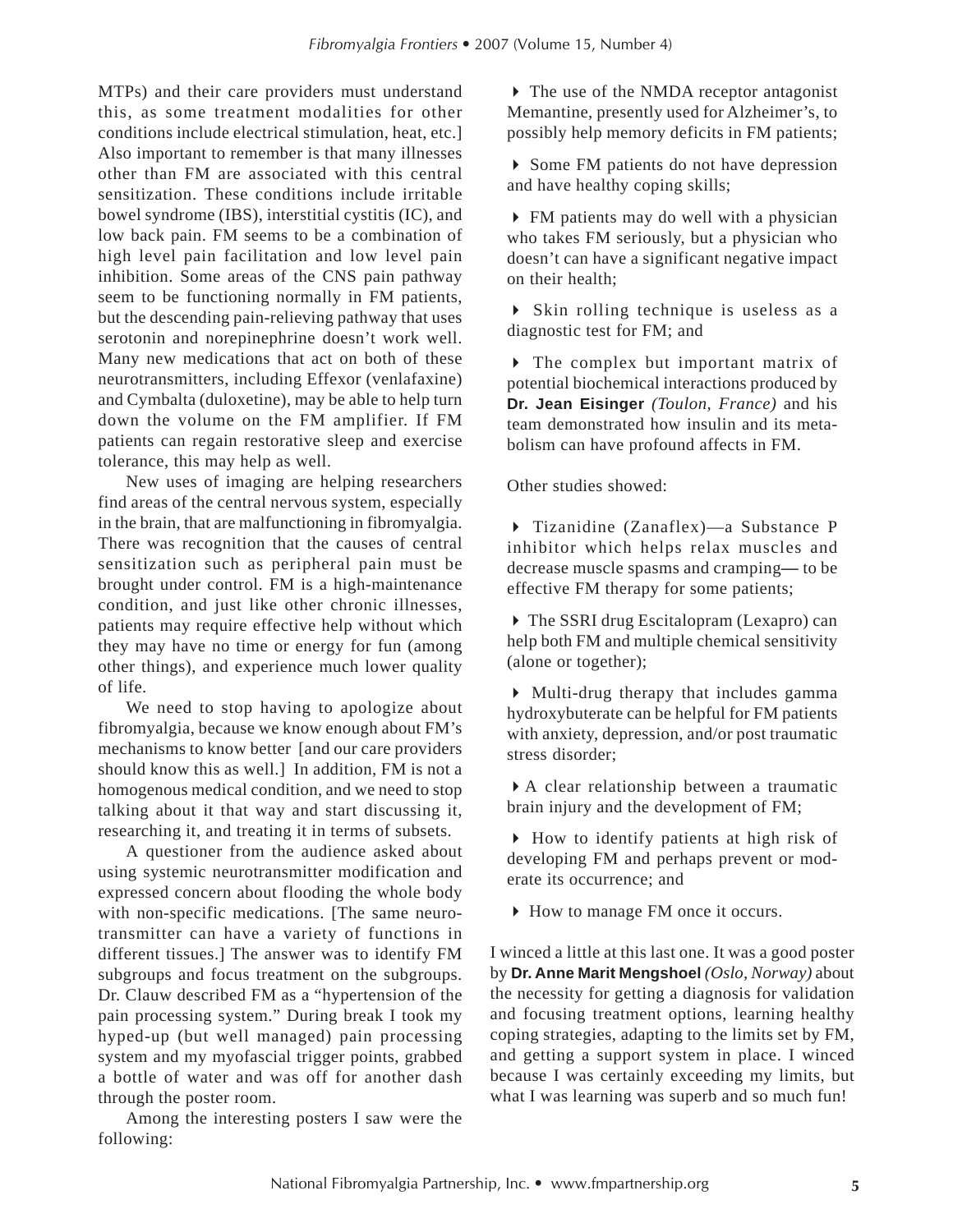MTPs) and their care providers must understand this, as some treatment modalities for other conditions include electrical stimulation, heat, etc.] Also important to remember is that many illnesses other than FM are associated with this central sensitization. These conditions include irritable bowel syndrome (IBS), interstitial cystitis (IC), and low back pain. FM seems to be a combination of high level pain facilitation and low level pain inhibition. Some areas of the CNS pain pathway seem to be functioning normally in FM patients, but the descending pain-relieving pathway that uses serotonin and norepinephrine doesn't work well. Many new medications that act on both of these neurotransmitters, including Effexor (venlafaxine) and Cymbalta (duloxetine), may be able to help turn down the volume on the FM amplifier. If FM patients can regain restorative sleep and exercise tolerance, this may help as well.

New uses of imaging are helping researchers find areas of the central nervous system, especially in the brain, that are malfunctioning in fibromyalgia. There was recognition that the causes of central sensitization such as peripheral pain must be brought under control. FM is a high-maintenance condition, and just like other chronic illnesses, patients may require effective help without which they may have no time or energy for fun (among other things), and experience much lower quality of life.

We need to stop having to apologize about fibromyalgia, because we know enough about FM's mechanisms to know better [and our care providers should know this as well.] In addition, FM is not a homogenous medical condition, and we need to stop talking about it that way and start discussing it, researching it, and treating it in terms of subsets.

A questioner from the audience asked about using systemic neurotransmitter modification and expressed concern about flooding the whole body with non-specific medications. [The same neurotransmitter can have a variety of functions in different tissues.] The answer was to identify FM subgroups and focus treatment on the subgroups. Dr. Clauw described FM as a "hypertension of the pain processing system." During break I took my hyped-up (but well managed) pain processing system and my myofascial trigger points, grabbed a bottle of water and was off for another dash through the poster room.

Among the interesting posters I saw were the following:

 The use of the NMDA receptor antagonist Memantine, presently used for Alzheimer's, to possibly help memory deficits in FM patients;

 Some FM patients do not have depression and have healthy coping skills;

 FM patients may do well with a physician who takes FM seriously, but a physician who doesn't can have a significant negative impact on their health;

 $\triangleright$  Skin rolling technique is useless as a diagnostic test for FM; and

• The complex but important matrix of potential biochemical interactions produced by **Dr. Jean Eisinger** *(Toulon, France)* and his team demonstrated how insulin and its metabolism can have profound affects in FM.

Other studies showed:

 Tizanidine (Zanaflex)—a Substance P inhibitor which helps relax muscles and decrease muscle spasms and cramping*—* to be effective FM therapy for some patients;

 The SSRI drug Escitalopram (Lexapro) can help both FM and multiple chemical sensitivity (alone or together);

 Multi-drug therapy that includes gamma hydroxybuterate can be helpful for FM patients with anxiety, depression, and/or post traumatic stress disorder;

A clear relationship between a traumatic brain injury and the development of FM;

 How to identify patients at high risk of developing FM and perhaps prevent or moderate its occurrence; and

How to manage FM once it occurs.

I winced a little at this last one. It was a good poster by **Dr. Anne Marit Mengshoel** *(Oslo, Norway)* about the necessity for getting a diagnosis for validation and focusing treatment options, learning healthy coping strategies, adapting to the limits set by FM, and getting a support system in place. I winced because I was certainly exceeding my limits, but what I was learning was superb and so much fun!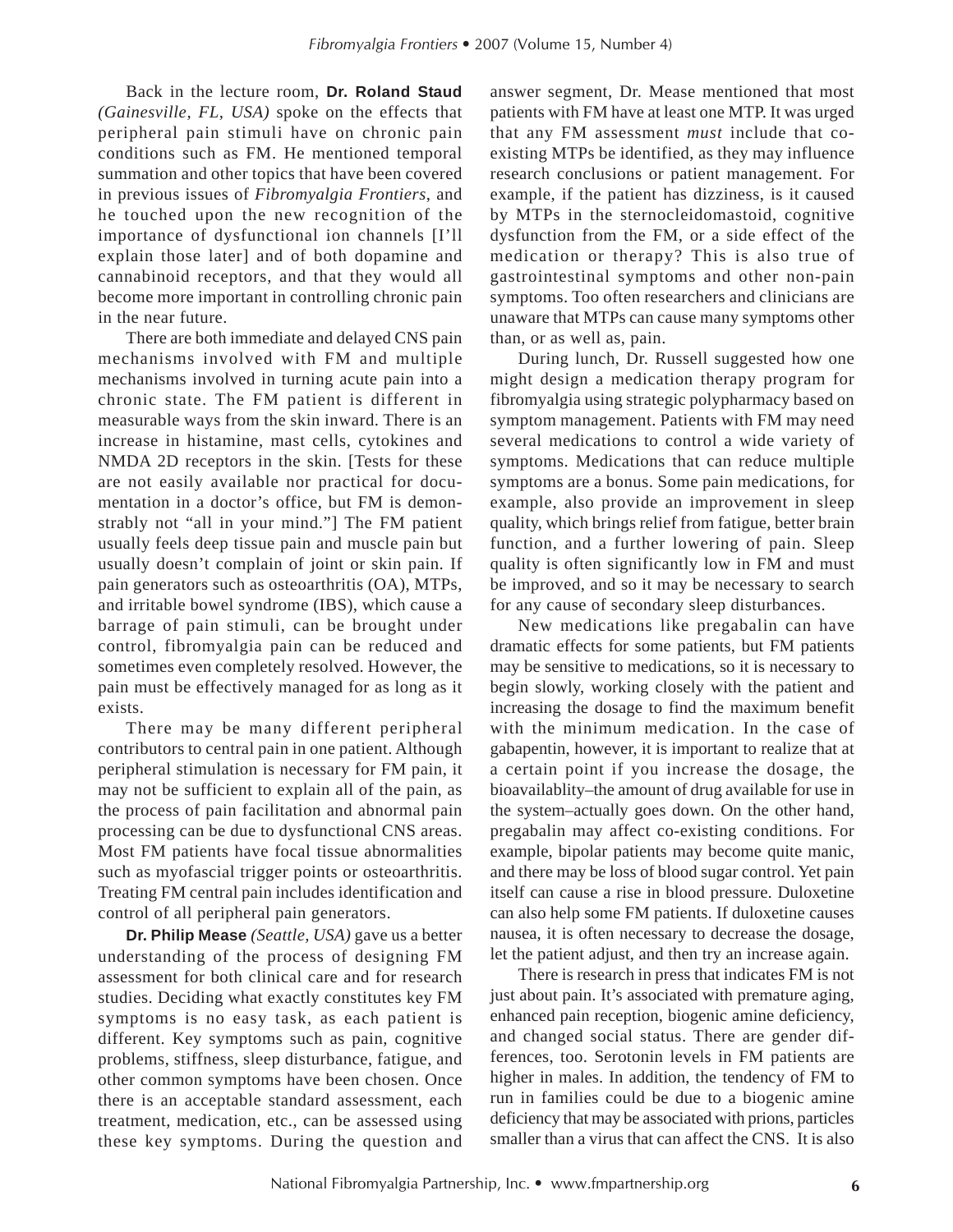Back in the lecture room, **Dr. Roland Staud** *(Gainesville, FL, USA)* spoke on the effects that peripheral pain stimuli have on chronic pain conditions such as FM. He mentioned temporal summation and other topics that have been covered in previous issues of *Fibromyalgia Frontiers*, and he touched upon the new recognition of the importance of dysfunctional ion channels [I'll explain those later] and of both dopamine and cannabinoid receptors, and that they would all become more important in controlling chronic pain in the near future.

There are both immediate and delayed CNS pain mechanisms involved with FM and multiple mechanisms involved in turning acute pain into a chronic state. The FM patient is different in measurable ways from the skin inward. There is an increase in histamine, mast cells, cytokines and NMDA 2D receptors in the skin. [Tests for these are not easily available nor practical for documentation in a doctor's office, but FM is demonstrably not "all in your mind."] The FM patient usually feels deep tissue pain and muscle pain but usually doesn't complain of joint or skin pain. If pain generators such as osteoarthritis (OA), MTPs, and irritable bowel syndrome (IBS), which cause a barrage of pain stimuli, can be brought under control, fibromyalgia pain can be reduced and sometimes even completely resolved. However, the pain must be effectively managed for as long as it exists.

There may be many different peripheral contributors to central pain in one patient. Although peripheral stimulation is necessary for FM pain, it may not be sufficient to explain all of the pain, as the process of pain facilitation and abnormal pain processing can be due to dysfunctional CNS areas. Most FM patients have focal tissue abnormalities such as myofascial trigger points or osteoarthritis. Treating FM central pain includes identification and control of all peripheral pain generators.

**Dr. Philip Mease** *(Seattle, USA)* gave us a better understanding of the process of designing FM assessment for both clinical care and for research studies. Deciding what exactly constitutes key FM symptoms is no easy task, as each patient is different. Key symptoms such as pain, cognitive problems, stiffness, sleep disturbance, fatigue, and other common symptoms have been chosen. Once there is an acceptable standard assessment, each treatment, medication, etc., can be assessed using these key symptoms. During the question and answer segment, Dr. Mease mentioned that most patients with FM have at least one MTP. It was urged that any FM assessment *must* include that coexisting MTPs be identified, as they may influence research conclusions or patient management. For example, if the patient has dizziness, is it caused by MTPs in the sternocleidomastoid, cognitive dysfunction from the FM, or a side effect of the medication or therapy? This is also true of gastrointestinal symptoms and other non-pain symptoms. Too often researchers and clinicians are unaware that MTPs can cause many symptoms other than, or as well as, pain.

During lunch, Dr. Russell suggested how one might design a medication therapy program for fibromyalgia using strategic polypharmacy based on symptom management. Patients with FM may need several medications to control a wide variety of symptoms. Medications that can reduce multiple symptoms are a bonus. Some pain medications, for example, also provide an improvement in sleep quality, which brings relief from fatigue, better brain function, and a further lowering of pain. Sleep quality is often significantly low in FM and must be improved, and so it may be necessary to search for any cause of secondary sleep disturbances.

New medications like pregabalin can have dramatic effects for some patients, but FM patients may be sensitive to medications, so it is necessary to begin slowly, working closely with the patient and increasing the dosage to find the maximum benefit with the minimum medication. In the case of gabapentin, however, it is important to realize that at a certain point if you increase the dosage, the bioavailablity–the amount of drug available for use in the system–actually goes down. On the other hand, pregabalin may affect co-existing conditions. For example, bipolar patients may become quite manic, and there may be loss of blood sugar control. Yet pain itself can cause a rise in blood pressure. Duloxetine can also help some FM patients. If duloxetine causes nausea, it is often necessary to decrease the dosage, let the patient adjust, and then try an increase again.

There is research in press that indicates FM is not just about pain. It's associated with premature aging, enhanced pain reception, biogenic amine deficiency, and changed social status. There are gender differences, too. Serotonin levels in FM patients are higher in males. In addition, the tendency of FM to run in families could be due to a biogenic amine deficiency that may be associated with prions, particles smaller than a virus that can affect the CNS. It is also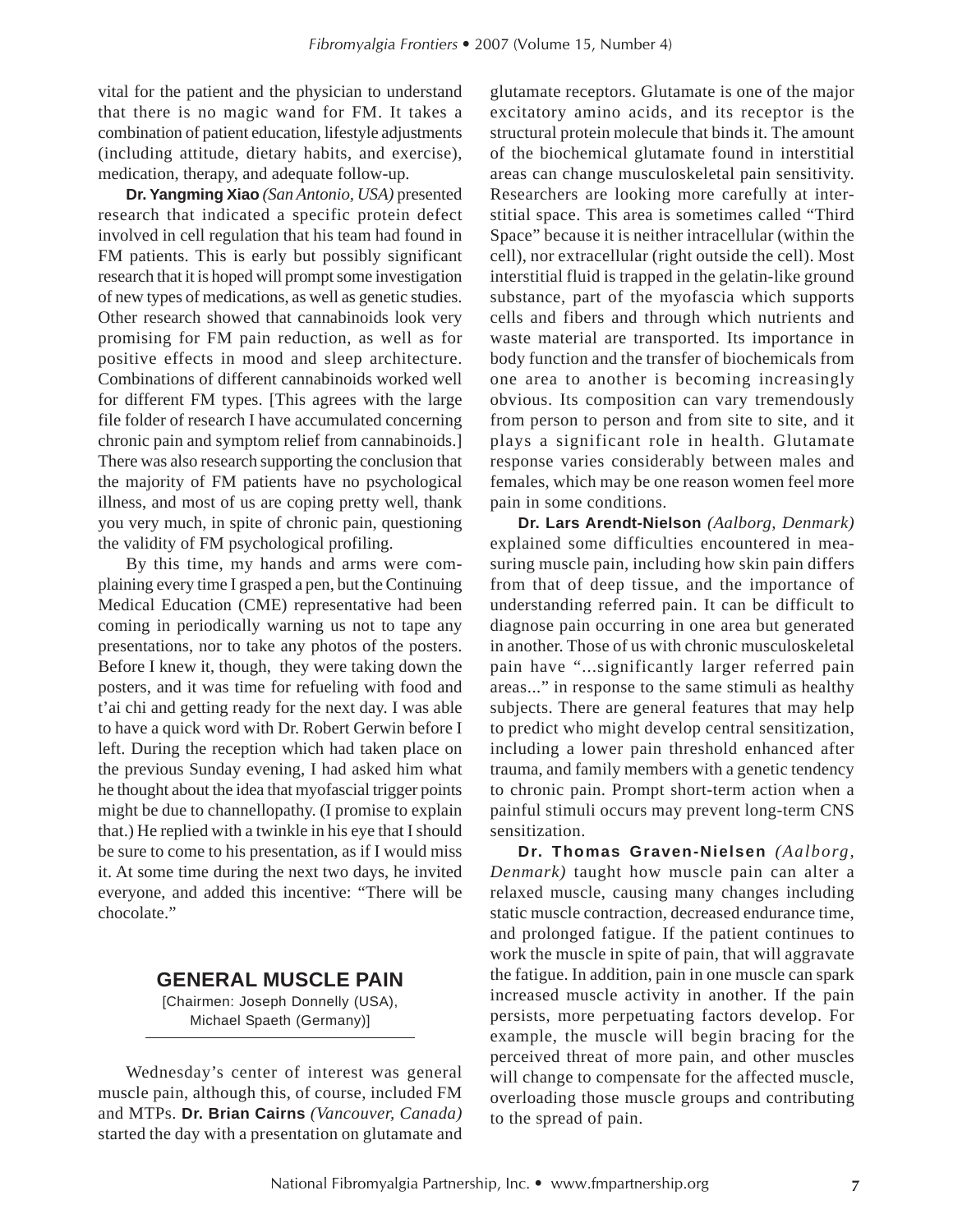vital for the patient and the physician to understand that there is no magic wand for FM. It takes a combination of patient education, lifestyle adjustments (including attitude, dietary habits, and exercise), medication, therapy, and adequate follow-up.

**Dr. Yangming Xiao** *(San Antonio, USA)* presented research that indicated a specific protein defect involved in cell regulation that his team had found in FM patients. This is early but possibly significant research that it is hoped will prompt some investigation of new types of medications, as well as genetic studies. Other research showed that cannabinoids look very promising for FM pain reduction, as well as for positive effects in mood and sleep architecture. Combinations of different cannabinoids worked well for different FM types. [This agrees with the large file folder of research I have accumulated concerning chronic pain and symptom relief from cannabinoids.] There was also research supporting the conclusion that the majority of FM patients have no psychological illness, and most of us are coping pretty well, thank you very much, in spite of chronic pain, questioning the validity of FM psychological profiling.

By this time, my hands and arms were complaining every time I grasped a pen, but the Continuing Medical Education (CME) representative had been coming in periodically warning us not to tape any presentations, nor to take any photos of the posters. Before I knew it, though, they were taking down the posters, and it was time for refueling with food and t'ai chi and getting ready for the next day. I was able to have a quick word with Dr. Robert Gerwin before I left. During the reception which had taken place on the previous Sunday evening, I had asked him what he thought about the idea that myofascial trigger points might be due to channellopathy. (I promise to explain that.) He replied with a twinkle in his eye that I should be sure to come to his presentation, as if I would miss it. At some time during the next two days, he invited everyone, and added this incentive: "There will be chocolate."

### **GENERAL MUSCLE PAIN**

[Chairmen: Joseph Donnelly (USA), Michael Spaeth (Germany)]

Wednesday's center of interest was general muscle pain, although this, of course, included FM and MTPs. **Dr. Brian Cairns** *(Vancouver, Canada)* started the day with a presentation on glutamate and

glutamate receptors. Glutamate is one of the major excitatory amino acids, and its receptor is the structural protein molecule that binds it. The amount of the biochemical glutamate found in interstitial areas can change musculoskeletal pain sensitivity. Researchers are looking more carefully at interstitial space. This area is sometimes called "Third Space" because it is neither intracellular (within the cell), nor extracellular (right outside the cell). Most interstitial fluid is trapped in the gelatin-like ground substance, part of the myofascia which supports cells and fibers and through which nutrients and waste material are transported. Its importance in body function and the transfer of biochemicals from one area to another is becoming increasingly obvious. Its composition can vary tremendously from person to person and from site to site, and it plays a significant role in health. Glutamate response varies considerably between males and females, which may be one reason women feel more pain in some conditions.

**Dr. Lars Arendt-Nielson** *(Aalborg, Denmark)* explained some difficulties encountered in measuring muscle pain, including how skin pain differs from that of deep tissue, and the importance of understanding referred pain. It can be difficult to diagnose pain occurring in one area but generated in another. Those of us with chronic musculoskeletal pain have "...significantly larger referred pain areas..." in response to the same stimuli as healthy subjects. There are general features that may help to predict who might develop central sensitization, including a lower pain threshold enhanced after trauma, and family members with a genetic tendency to chronic pain. Prompt short-term action when a painful stimuli occurs may prevent long-term CNS sensitization.

**Dr. Thomas Graven-Nielsen** *(Aalborg, Denmark)* taught how muscle pain can alter a relaxed muscle, causing many changes including static muscle contraction, decreased endurance time, and prolonged fatigue. If the patient continues to work the muscle in spite of pain, that will aggravate the fatigue. In addition, pain in one muscle can spark increased muscle activity in another. If the pain persists, more perpetuating factors develop. For example, the muscle will begin bracing for the perceived threat of more pain, and other muscles will change to compensate for the affected muscle, overloading those muscle groups and contributing to the spread of pain.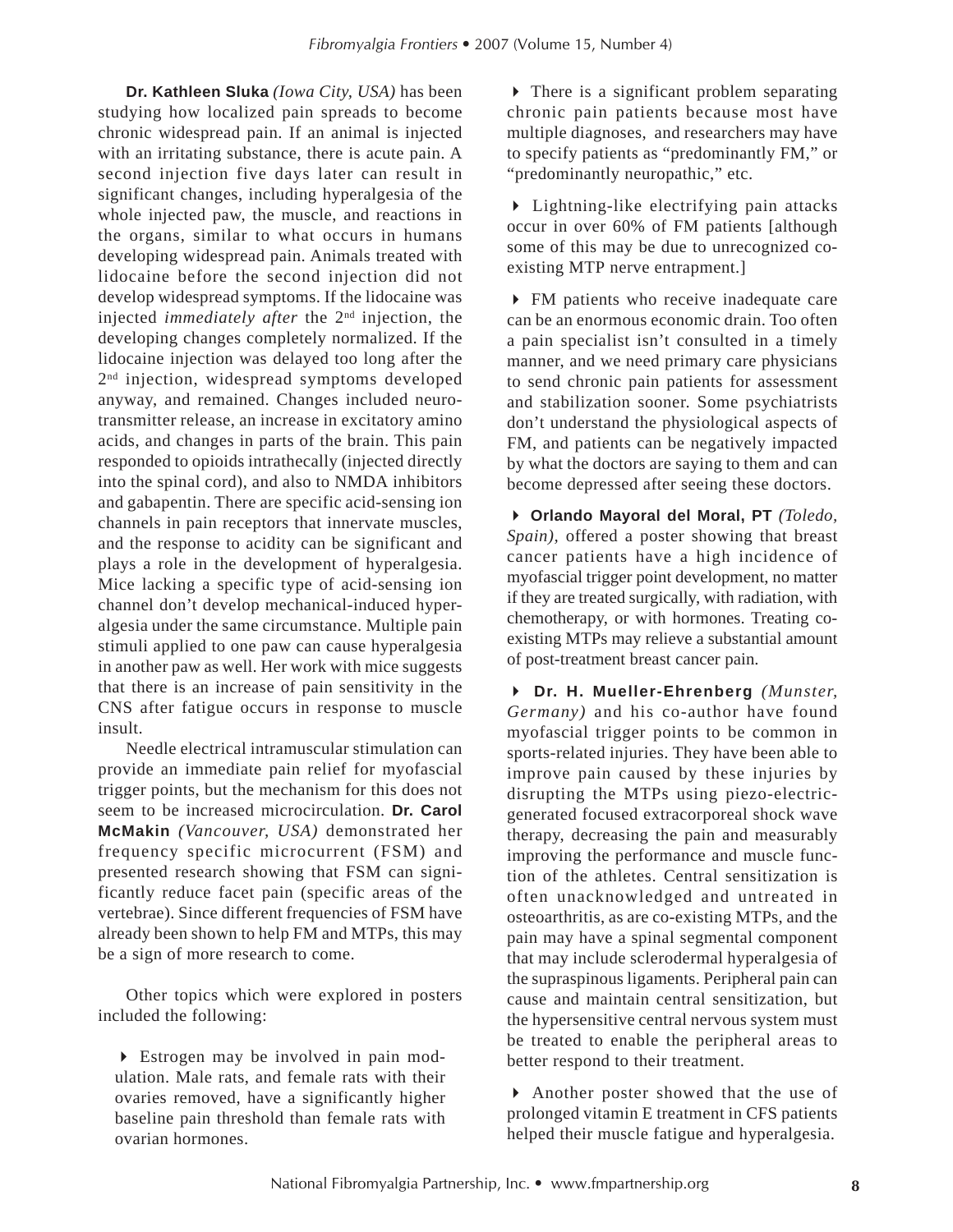**Dr. Kathleen Sluka** *(Iowa City, USA)* has been studying how localized pain spreads to become chronic widespread pain. If an animal is injected with an irritating substance, there is acute pain. A second injection five days later can result in significant changes, including hyperalgesia of the whole injected paw, the muscle, and reactions in the organs, similar to what occurs in humans developing widespread pain. Animals treated with lidocaine before the second injection did not develop widespread symptoms. If the lidocaine was injected *immediately after* the 2nd injection, the developing changes completely normalized. If the lidocaine injection was delayed too long after the 2<sup>nd</sup> injection, widespread symptoms developed anyway, and remained. Changes included neurotransmitter release, an increase in excitatory amino acids, and changes in parts of the brain. This pain responded to opioids intrathecally (injected directly into the spinal cord), and also to NMDA inhibitors and gabapentin. There are specific acid-sensing ion channels in pain receptors that innervate muscles, and the response to acidity can be significant and plays a role in the development of hyperalgesia. Mice lacking a specific type of acid-sensing ion channel don't develop mechanical-induced hyperalgesia under the same circumstance. Multiple pain stimuli applied to one paw can cause hyperalgesia in another paw as well. Her work with mice suggests that there is an increase of pain sensitivity in the CNS after fatigue occurs in response to muscle insult.

Needle electrical intramuscular stimulation can provide an immediate pain relief for myofascial trigger points, but the mechanism for this does not seem to be increased microcirculation. **Dr. Carol McMakin** *(Vancouver, USA)* demonstrated her frequency specific microcurrent (FSM) and presented research showing that FSM can significantly reduce facet pain (specific areas of the vertebrae). Since different frequencies of FSM have already been shown to help FM and MTPs, this may be a sign of more research to come.

Other topics which were explored in posters included the following:

 Estrogen may be involved in pain modulation. Male rats, and female rats with their ovaries removed, have a significantly higher baseline pain threshold than female rats with ovarian hormones.

 There is a significant problem separating chronic pain patients because most have multiple diagnoses, and researchers may have to specify patients as "predominantly FM," or "predominantly neuropathic," etc.

 Lightning-like electrifying pain attacks occur in over 60% of FM patients [although some of this may be due to unrecognized coexisting MTP nerve entrapment.]

 FM patients who receive inadequate care can be an enormous economic drain. Too often a pain specialist isn't consulted in a timely manner, and we need primary care physicians to send chronic pain patients for assessment and stabilization sooner. Some psychiatrists don't understand the physiological aspects of FM, and patients can be negatively impacted by what the doctors are saying to them and can become depressed after seeing these doctors.

 **Orlando Mayoral del Moral, PT** *(Toledo, Spain),* offered a poster showing that breast cancer patients have a high incidence of myofascial trigger point development, no matter if they are treated surgically, with radiation, with chemotherapy, or with hormones. Treating coexisting MTPs may relieve a substantial amount of post-treatment breast cancer pain.

 **Dr. H. Mueller-Ehrenberg** *(Munster, Germany)* and his co-author have found myofascial trigger points to be common in sports-related injuries. They have been able to improve pain caused by these injuries by disrupting the MTPs using piezo-electricgenerated focused extracorporeal shock wave therapy, decreasing the pain and measurably improving the performance and muscle function of the athletes. Central sensitization is often unacknowledged and untreated in osteoarthritis, as are co-existing MTPs, and the pain may have a spinal segmental component that may include sclerodermal hyperalgesia of the supraspinous ligaments. Peripheral pain can cause and maintain central sensitization, but the hypersensitive central nervous system must be treated to enable the peripheral areas to better respond to their treatment.

 Another poster showed that the use of prolonged vitamin E treatment in CFS patients helped their muscle fatigue and hyperalgesia.